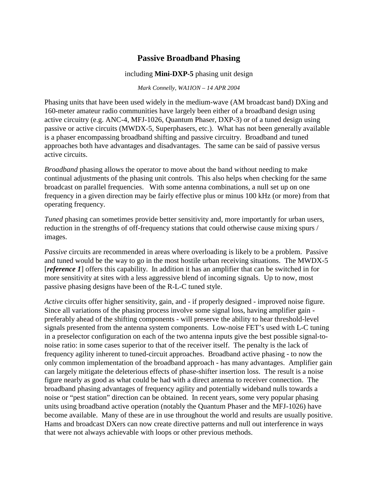# **Passive Broadband Phasing**

#### including **Mini-DXP-5** phasing unit design

#### *Mark Connelly, WA1ION – 14 APR 2004*

Phasing units that have been used widely in the medium-wave (AM broadcast band) DXing and 160-meter amateur radio communities have largely been either of a broadband design using active circuitry (e.g. ANC-4, MFJ-1026, Quantum Phaser, DXP-3) or of a tuned design using passive or active circuits (MWDX-5, Superphasers, etc.). What has not been generally available is a phaser encompassing broadband shifting and passive circuitry. Broadband and tuned approaches both have advantages and disadvantages. The same can be said of passive versus active circuits.

*Broadband* phasing allows the operator to move about the band without needing to make continual adjustments of the phasing unit controls. This also helps when checking for the same broadcast on parallel frequencies. With some antenna combinations, a null set up on one frequency in a given direction may be fairly effective plus or minus 100 kHz (or more) from that operating frequency.

*Tuned* phasing can sometimes provide better sensitivity and, more importantly for urban users, reduction in the strengths of off-frequency stations that could otherwise cause mixing spurs / images.

*Passive* circuits are recommended in areas where overloading is likely to be a problem. Passive and tuned would be the way to go in the most hostile urban receiving situations. The MWDX-5 [*reference 1*] offers this capability. In addition it has an amplifier that can be switched in for more sensitivity at sites with a less aggressive blend of incoming signals. Up to now, most passive phasing designs have been of the R-L-C tuned style.

*Active* circuits offer higher sensitivity, gain, and - if properly designed - improved noise figure. Since all variations of the phasing process involve some signal loss, having amplifier gain preferably ahead of the shifting components - will preserve the ability to hear threshold-level signals presented from the antenna system components. Low-noise FET's used with L-C tuning in a preselector configuration on each of the two antenna inputs give the best possible signal-tonoise ratio: in some cases superior to that of the receiver itself. The penalty is the lack of frequency agility inherent to tuned-circuit approaches. Broadband active phasing - to now the only common implementation of the broadband approach - has many advantages. Amplifier gain can largely mitigate the deleterious effects of phase-shifter insertion loss. The result is a noise figure nearly as good as what could be had with a direct antenna to receiver connection. The broadband phasing advantages of frequency agility and potentially wideband nulls towards a noise or "pest station" direction can be obtained. In recent years, some very popular phasing units using broadband active operation (notably the Quantum Phaser and the MFJ-1026) have become available. Many of these are in use throughout the world and results are usually positive. Hams and broadcast DXers can now create directive patterns and null out interference in ways that were not always achievable with loops or other previous methods.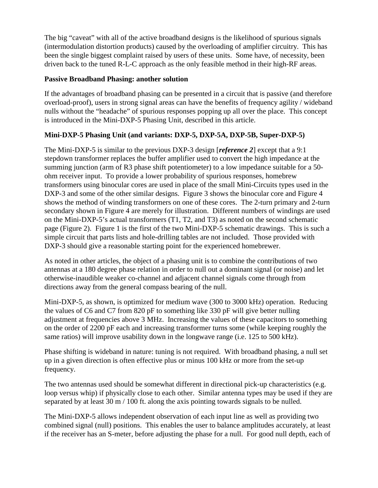The big "caveat" with all of the active broadband designs is the likelihood of spurious signals (intermodulation distortion products) caused by the overloading of amplifier circuitry. This has been the single biggest complaint raised by users of these units. Some have, of necessity, been driven back to the tuned R-L-C approach as the only feasible method in their high-RF areas.

### **Passive Broadband Phasing: another solution**

If the advantages of broadband phasing can be presented in a circuit that is passive (and therefore overload-proof), users in strong signal areas can have the benefits of frequency agility / wideband nulls without the "headache" of spurious responses popping up all over the place. This concept is introduced in the Mini-DXP-5 Phasing Unit, described in this article.

### **Mini-DXP-5 Phasing Unit (and variants: DXP-5, DXP-5A, DXP-5B, Super-DXP-5)**

The Mini-DXP-5 is similar to the previous DXP-3 design [*reference 2*] except that a 9:1 stepdown transformer replaces the buffer amplifier used to convert the high impedance at the summing junction (arm of R3 phase shift potentiometer) to a low impedance suitable for a 50 ohm receiver input. To provide a lower probability of spurious responses, homebrew transformers using binocular cores are used in place of the small Mini-Circuits types used in the DXP-3 and some of the other similar designs. Figure 3 shows the binocular core and Figure 4 shows the method of winding transformers on one of these cores. The 2-turn primary and 2-turn secondary shown in Figure 4 are merely for illustration. Different numbers of windings are used on the Mini-DXP-5's actual transformers (T1, T2, and T3) as noted on the second schematic page (Figure 2). Figure 1 is the first of the two Mini-DXP-5 schematic drawings. This is such a simple circuit that parts lists and hole-drilling tables are not included. Those provided with DXP-3 should give a reasonable starting point for the experienced homebrewer.

As noted in other articles, the object of a phasing unit is to combine the contributions of two antennas at a 180 degree phase relation in order to null out a dominant signal (or noise) and let otherwise-inaudible weaker co-channel and adjacent channel signals come through from directions away from the general compass bearing of the null.

Mini-DXP-5, as shown, is optimized for medium wave (300 to 3000 kHz) operation. Reducing the values of C6 and C7 from 820 pF to something like 330 pF will give better nulling adjustment at frequencies above 3 MHz. Increasing the values of these capacitors to something on the order of 2200 pF each and increasing transformer turns some (while keeping roughly the same ratios) will improve usability down in the longwave range (i.e. 125 to 500 kHz).

Phase shifting is wideband in nature: tuning is not required. With broadband phasing, a null set up in a given direction is often effective plus or minus 100 kHz or more from the set-up frequency.

The two antennas used should be somewhat different in directional pick-up characteristics (e.g. loop versus whip) if physically close to each other. Similar antenna types may be used if they are separated by at least 30 m / 100 ft. along the axis pointing towards signals to be nulled.

The Mini-DXP-5 allows independent observation of each input line as well as providing two combined signal (null) positions. This enables the user to balance amplitudes accurately, at least if the receiver has an S-meter, before adjusting the phase for a null. For good null depth, each of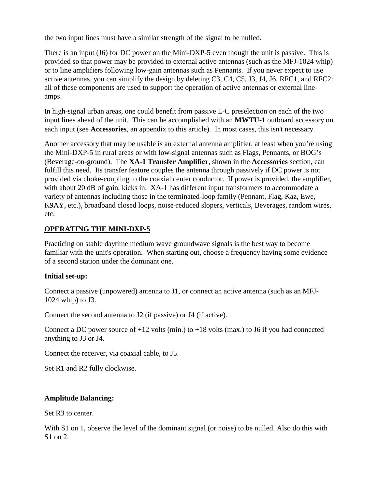the two input lines must have a similar strength of the signal to be nulled.

There is an input (J6) for DC power on the Mini-DXP-5 even though the unit is passive. This is provided so that power may be provided to external active antennas (such as the MFJ-1024 whip) or to line amplifiers following low-gain antennas such as Pennants. If you never expect to use active antennas, you can simplify the design by deleting C3, C4, C5, J3, J4, J6, RFC1, and RFC2: all of these components are used to support the operation of active antennas or external lineamps.

In high-signal urban areas, one could benefit from passive L-C preselection on each of the two input lines ahead of the unit. This can be accomplished with an **MWTU-1** outboard accessory on each input (see **Accessories**, an appendix to this article). In most cases, this isn't necessary.

Another accessory that may be usable is an external antenna amplifier, at least when you're using the Mini-DXP-5 in rural areas or with low-signal antennas such as Flags, Pennants, or BOG's (Beverage-on-ground). The **XA-1 Transfer Amplifier**, shown in the **Accessories** section, can fulfill this need. Its transfer feature couples the antenna through passively if DC power is not provided via choke-coupling to the coaxial center conductor. If power is provided, the amplifier, with about 20 dB of gain, kicks in. XA-1 has different input transformers to accommodate a variety of antennas including those in the terminated-loop family (Pennant, Flag, Kaz, Ewe, K9AY, etc.), broadband closed loops, noise-reduced slopers, verticals, Beverages, random wires, etc.

## **OPERATING THE MINI-DXP-5**

Practicing on stable daytime medium wave groundwave signals is the best way to become familiar with the unit's operation. When starting out, choose a frequency having some evidence of a second station under the dominant one.

### **Initial set-up:**

Connect a passive (unpowered) antenna to J1, or connect an active antenna (such as an MFJ-1024 whip) to J3.

Connect the second antenna to J2 (if passive) or J4 (if active).

Connect a DC power source of  $+12$  volts (min.) to  $+18$  volts (max.) to J6 if you had connected anything to J3 or J4.

Connect the receiver, via coaxial cable, to J5.

Set R1 and R2 fully clockwise.

### **Amplitude Balancing:**

Set R3 to center.

With S1 on 1, observe the level of the dominant signal (or noise) to be nulled. Also do this with S1 on 2.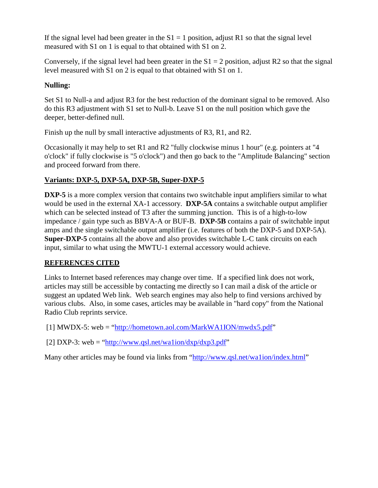If the signal level had been greater in the  $S1 = 1$  position, adjust R1 so that the signal level measured with S1 on 1 is equal to that obtained with S1 on 2.

Conversely, if the signal level had been greater in the  $S1 = 2$  position, adjust R2 so that the signal level measured with S1 on 2 is equal to that obtained with S1 on 1.

## **Nulling:**

Set S1 to Null-a and adjust R3 for the best reduction of the dominant signal to be removed. Also do this R3 adjustment with S1 set to Null-b. Leave S1 on the null position which gave the deeper, better-defined null.

Finish up the null by small interactive adjustments of R3, R1, and R2.

Occasionally it may help to set R1 and R2 "fully clockwise minus 1 hour" (e.g. pointers at "4 o'clock" if fully clockwise is "5 o'clock") and then go back to the "Amplitude Balancing" section and proceed forward from there.

# **Variants: DXP-5, DXP-5A, DXP-5B, Super-DXP-5**

**DXP-5** is a more complex version that contains two switchable input amplifiers similar to what would be used in the external XA-1 accessory. **DXP-5A** contains a switchable output amplifier which can be selected instead of T3 after the summing junction. This is of a high-to-low impedance / gain type such as BBVA-A or BUF-B. **DXP-5B** contains a pair of switchable input amps and the single switchable output amplifier (i.e. features of both the DXP-5 and DXP-5A). **Super-DXP-5** contains all the above and also provides switchable L-C tank circuits on each input, similar to what using the MWTU-1 external accessory would achieve.

# **REFERENCES CITED**

Links to Internet based references may change over time. If a specified link does not work, articles may still be accessible by contacting me directly so I can mail a disk of the article or suggest an updated Web link. Web search engines may also help to find versions archived by various clubs. Also, in some cases, articles may be available in "hard copy" from the National Radio Club reprints service.

[1] MWDX-5: web = " $\frac{http://hometown.aol.com/MarkWA1ION/mwdx5.pdf"$ "

[2] DXP-3: web = "http://www.qsl.net/wa1ion/dxp/dxp3.pdf"

Many other articles may be found via links from ["http://www.qsl.net/wa1ion/index.html"](http://www.qsl.net/wa1ion/index.html)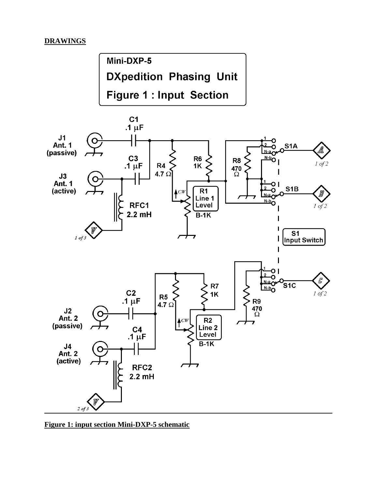### **DRAWINGS**



**Figure 1: input section Mini-DXP-5 schematic**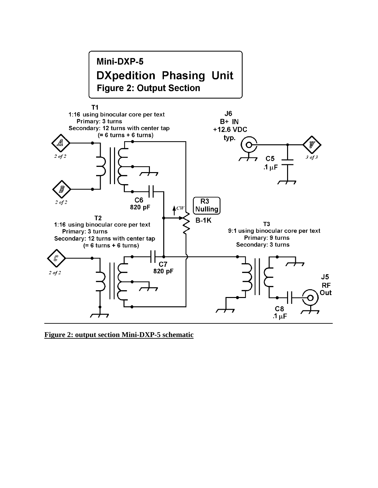

**Figure 2: output section Mini-DXP-5 schematic**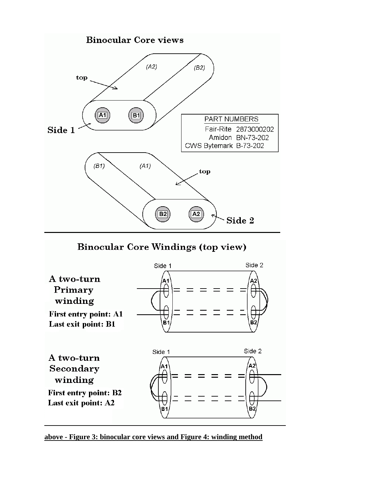

**Binocular Core Windings (top view)** 



**above - Figure 3: binocular core views and Figure 4: winding method**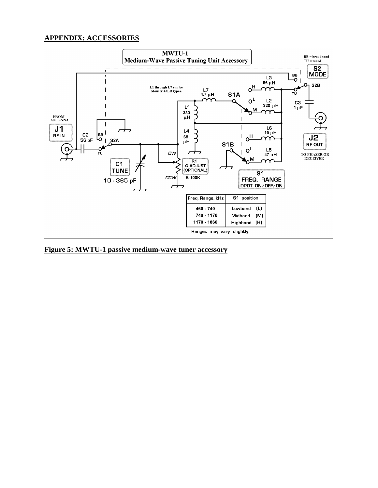#### **APPENDIX: ACCESSORIES**



**Figure 5: MWTU-1 passive medium-wave tuner accessory**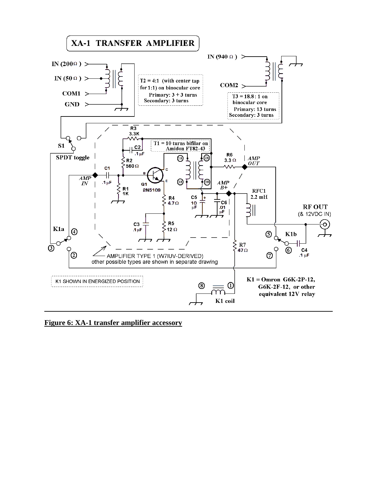

**Figure 6: XA-1 transfer amplifier accessory**